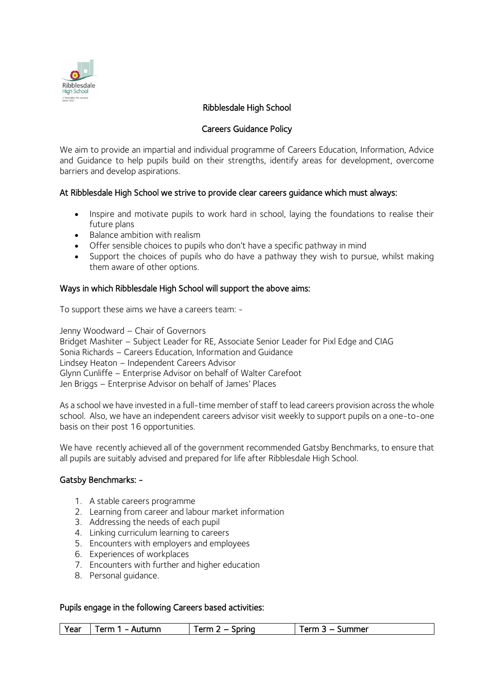

# Ribblesdale High School

## Careers Guidance Policy

We aim to provide an impartial and individual programme of Careers Education, Information, Advice and Guidance to help pupils build on their strengths, identify areas for development, overcome barriers and develop aspirations.

## At Ribblesdale High School we strive to provide clear careers guidance which must always:

- Inspire and motivate pupils to work hard in school, laying the foundations to realise their future plans
- Balance ambition with realism
- Offer sensible choices to pupils who don't have a specific pathway in mind
- Support the choices of pupils who do have a pathway they wish to pursue, whilst making them aware of other options.

#### Ways in which Ribblesdale High School will support the above aims:

To support these aims we have a careers team: -

Jenny Woodward – Chair of Governors Bridget Mashiter – Subject Leader for RE, Associate Senior Leader for Pixl Edge and CIAG Sonia Richards – Careers Education, Information and Guidance Lindsey Heaton – Independent Careers Advisor Glynn Cunliffe – Enterprise Advisor on behalf of Walter Carefoot Jen Briggs – Enterprise Advisor on behalf of James' Places

As a school we have invested in a full-time member of staff to lead careers provision across the whole school. Also, we have an independent careers advisor visit weekly to support pupils on a one-to-one basis on their post 16 opportunities.

We have recently achieved all of the government recommende[d Gatsby Benchmarks,](http://www.gatsby.org.uk/education/focus-areas/good-career-guidance) to ensure that all pupils are suitably advised and prepared for life after Ribblesdale High School.

#### Gatsby Benchmarks: -

- 1. A stable careers programme
- 2. Learning from career and labour market information
- 3. Addressing the needs of each pupil
- 4. Linking curriculum learning to careers
- 5. Encounters with employers and employees
- 6. Experiences of workplaces
- 7. Encounters with further and higher education
- 8. Personal guidance.

## Pupils engage in the following Careers based activities:

| $\alpha$ rm<br>utumn<br>iprina<br>orm.<br>ummerد<br>Year<br>orm<br>. .<br>ונור<br>``<br>`` |  |
|--------------------------------------------------------------------------------------------|--|
|--------------------------------------------------------------------------------------------|--|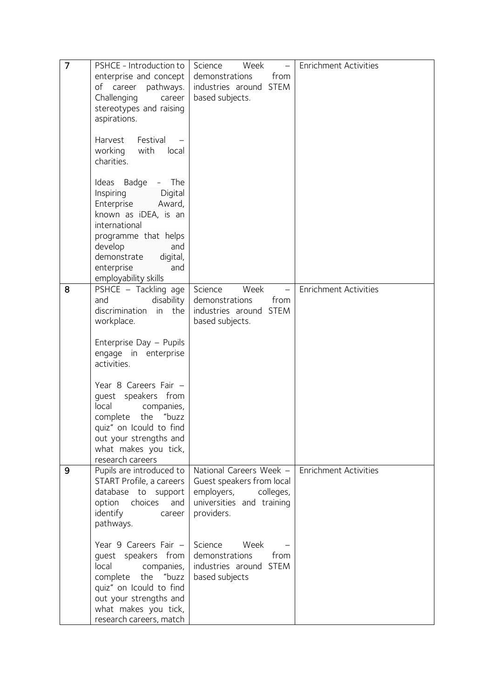| 7 | PSHCE - Introduction to  | Science<br>Week<br>$\equiv$ | <b>Enrichment Activities</b> |
|---|--------------------------|-----------------------------|------------------------------|
|   | enterprise and concept   | demonstrations<br>from      |                              |
|   | of career pathways.      | industries around STEM      |                              |
|   | Challenging<br>career    | based subjects.             |                              |
|   | stereotypes and raising  |                             |                              |
|   | aspirations.             |                             |                              |
|   |                          |                             |                              |
|   | Harvest<br>Festival      |                             |                              |
|   | working<br>with<br>local |                             |                              |
|   | charities.               |                             |                              |
|   |                          |                             |                              |
|   |                          |                             |                              |
|   | Ideas Badge<br>- The     |                             |                              |
|   | Inspiring<br>Digital     |                             |                              |
|   | Enterprise<br>Award,     |                             |                              |
|   | known as iDEA, is an     |                             |                              |
|   | international            |                             |                              |
|   | programme that helps     |                             |                              |
|   | develop<br>and           |                             |                              |
|   | demonstrate<br>digital,  |                             |                              |
|   | enterprise<br>and        |                             |                              |
|   | employability skills     |                             |                              |
| 8 | PSHCE - Tackling age     | Science<br>Week<br>$\equiv$ | <b>Enrichment Activities</b> |
|   | and<br>disability        | from<br>demonstrations      |                              |
|   | discrimination in the    | industries around STEM      |                              |
|   | workplace.               | based subjects.             |                              |
|   |                          |                             |                              |
|   | Enterprise Day - Pupils  |                             |                              |
|   | engage in enterprise     |                             |                              |
|   | activities.              |                             |                              |
|   |                          |                             |                              |
|   | Year 8 Careers Fair -    |                             |                              |
|   | guest speakers from      |                             |                              |
|   | local<br>companies,      |                             |                              |
|   | complete<br>the<br>"buzz |                             |                              |
|   | quiz" on Icould to find  |                             |                              |
|   | out your strengths and   |                             |                              |
|   | what makes you tick,     |                             |                              |
|   | research careers         |                             |                              |
| 9 | Pupils are introduced to | National Careers Week -     | <b>Enrichment Activities</b> |
|   | START Profile, a careers | Guest speakers from local   |                              |
|   | database to support      | employers,<br>colleges,     |                              |
|   | option<br>choices<br>and | universities and training   |                              |
|   | identify<br>career       | providers.                  |                              |
|   | pathways.                |                             |                              |
|   |                          |                             |                              |
|   | Year 9 Careers Fair -    | Science<br>Week             |                              |
|   | quest speakers from      | demonstrations<br>from      |                              |
|   | local<br>companies,      | industries around STEM      |                              |
|   | complete the "buzz       | based subjects              |                              |
|   | quiz" on Icould to find  |                             |                              |
|   | out your strengths and   |                             |                              |
|   | what makes you tick,     |                             |                              |
|   | research careers, match  |                             |                              |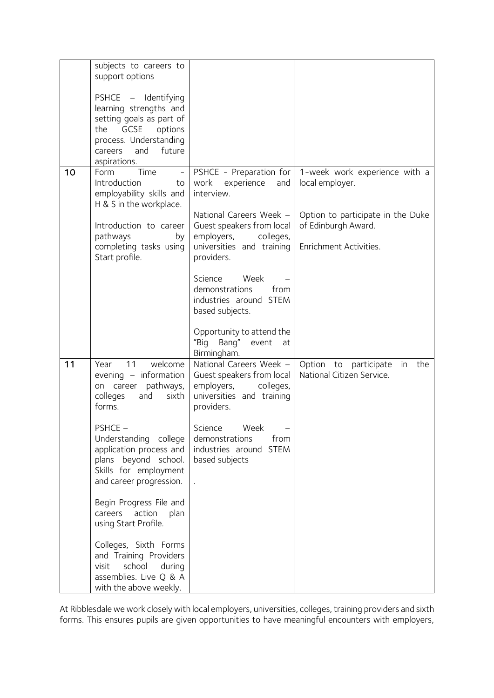|    | subjects to careers to<br>support options                                                                                               |                                                                                                                         |                                                                 |
|----|-----------------------------------------------------------------------------------------------------------------------------------------|-------------------------------------------------------------------------------------------------------------------------|-----------------------------------------------------------------|
|    | PSHCE - Identifying                                                                                                                     |                                                                                                                         |                                                                 |
|    | learning strengths and<br>setting goals as part of                                                                                      |                                                                                                                         |                                                                 |
|    | GCSE<br>options<br>the<br>process. Understanding                                                                                        |                                                                                                                         |                                                                 |
|    | careers and future<br>aspirations.                                                                                                      |                                                                                                                         |                                                                 |
| 10 | Time<br>Form<br>$\bar{\mathcal{L}}$<br>Introduction<br>to<br>employability skills and<br>H & S in the workplace.                        | PSHCE - Preparation for<br>work<br>experience<br>and<br>interview.                                                      | 1-week work experience with a<br>local employer.                |
|    | Introduction to career<br>pathways<br>by                                                                                                | National Careers Week -<br>Guest speakers from local<br>employers, colleges,                                            | Option to participate in the Duke<br>of Edinburgh Award.        |
|    | completing tasks using<br>Start profile.                                                                                                | universities and training<br>providers.                                                                                 | Enrichment Activities.                                          |
|    |                                                                                                                                         | Science<br>Week<br>demonstrations<br>from<br>industries around STEM<br>based subjects.                                  |                                                                 |
|    |                                                                                                                                         | Opportunity to attend the<br>"Big Bang" event<br>at<br>Birmingham.                                                      |                                                                 |
| 11 | 11<br>welcome<br>Year<br>evening - information<br>on career pathways,<br>colleges<br>and<br>sixth<br>forms.                             | National Careers Week -<br>Guest speakers from local<br>employers, colleges,<br>universities and training<br>providers. | Option to participate<br>in<br>the<br>National Citizen Service. |
|    | PSHCE -<br>Understanding college<br>application process and<br>plans beyond school.<br>Skills for employment<br>and career progression. | Science Week<br>demonstrations<br>from<br>industries around STEM<br>based subjects                                      |                                                                 |
|    | Begin Progress File and<br>careers action<br>plan<br>using Start Profile.                                                               |                                                                                                                         |                                                                 |
|    | Colleges, Sixth Forms<br>and Training Providers<br>school<br>visit<br>during<br>assemblies. Live Q & A<br>with the above weekly.        |                                                                                                                         |                                                                 |

At Ribblesdale we work closely with local employers, universities, colleges, training providers and sixth forms. This ensures pupils are given opportunities to have meaningful encounters with employers,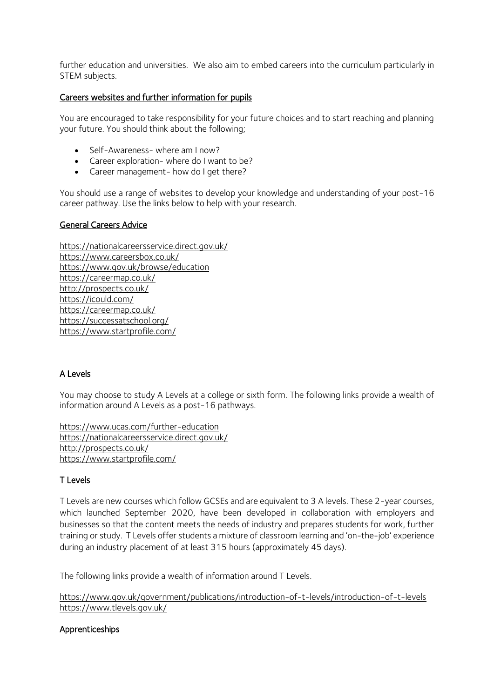further education and universities. We also aim to embed careers into the curriculum particularly in STEM subjects.

## Careers websites and further information for pupils

You are encouraged to take responsibility for your future choices and to start reaching and planning your future. You should think about the following;

- Self-Awareness- where am I now?
- Career exploration- where do I want to be?
- Career management- how do I get there?

You should use a range of websites to develop your knowledge and understanding of your post-16 career pathway. Use the links below to help with your research.

#### General Careers Advice

[https://nationalcareersservice.direct.gov.uk/](https://www.google.com/url?q=https://nationalcareersservice.direct.gov.uk/&sa=D&ust=1542121173541000) [https://www.careersbox.co.uk/](https://www.google.com/url?q=https://www.careersbox.co.uk/&sa=D&ust=1542121173541000) [https://www.gov.uk/browse/education](https://www.google.com/url?q=https://www.gov.uk/browse/education&sa=D&ust=1542121173542000) <https://careermap.co.uk/> [http://prospects.co.uk/](https://www.google.com/url?q=http://prospects.co.uk/&sa=D&ust=1542121173542000) [https://icould.com/](https://www.google.com/url?q=https://icould.com/&sa=D&ust=1542121173544000) [https://careermap.co.uk/](https://www.google.com/url?q=https://careermap.co.uk/&sa=D&ust=1542121173545000) [https://successatschool.org/](https://www.google.com/url?q=https://successatschool.org/&sa=D&ust=1542121173545000) <https://www.startprofile.com/>

## A Levels

You may choose to study A Levels at a college or sixth form. The following links provide a wealth of information around A Levels as a post-16 pathways.

<https://www.ucas.com/further-education> [https://nationalcareersservice.direct.gov.uk/](https://www.google.com/url?q=https://nationalcareersservice.direct.gov.uk/&sa=D&ust=1542121173541000) [http://prospects.co.uk/](https://www.google.com/url?q=http://prospects.co.uk/&sa=D&ust=1542121173542000) <https://www.startprofile.com/>

## T Levels

T Levels are new courses which follow GCSEs and are equivalent to 3 A levels. These 2-year courses, which launched September 2020, have been developed in collaboration with employers and businesses so that the content meets the needs of industry and prepares students for work, further training or study. T Levels offer students a mixture of classroom learning and 'on-the-job' experience during an industry placement of at least 315 hours (approximately 45 days).

The following links provide a wealth of information around T Levels.

<https://www.gov.uk/government/publications/introduction-of-t-levels/introduction-of-t-levels> <https://www.tlevels.gov.uk/>

## Apprenticeships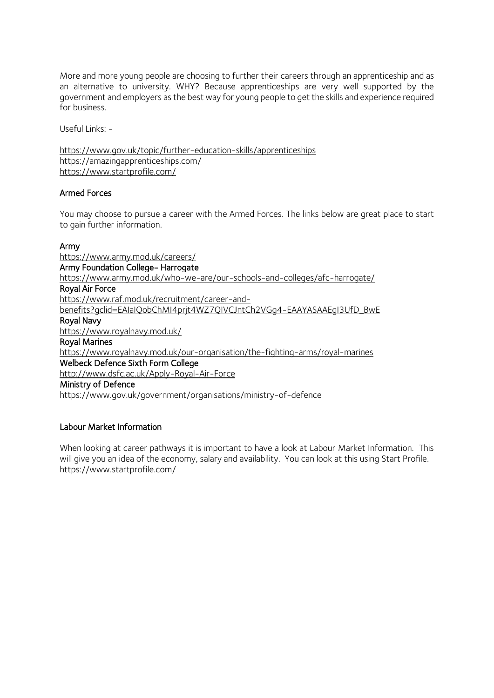More and more young people are choosing to further their careers through an apprenticeship and as an alternative to university. WHY? Because apprenticeships are very well supported by the government and employers as the best way for young people to get the skills and experience required for business.

Useful Links: -

<https://www.gov.uk/topic/further-education-skills/apprenticeships> <https://amazingapprenticeships.com/> <https://www.startprofile.com/>

## Armed Forces

You may choose to pursue a career with the Armed Forces. The links below are great place to start to gain further information.

#### [Army](https://www.army.mod.uk/careers/)

<https://www.army.mod.uk/careers/> [Army Foundation College- Harrogate](https://www.army.mod.uk/who-we-are/our-schools-and-colleges/afc-harrogate/)  <https://www.army.mod.uk/who-we-are/our-schools-and-colleges/afc-harrogate/> [Royal Air Force](https://www.raf.mod.uk/recruitment/)  [https://www.raf.mod.uk/recruitment/career-and](https://www.raf.mod.uk/recruitment/career-and-benefits?gclid=EAIaIQobChMI4prjt4WZ7QIVCJntCh2VGg4-EAAYASAAEgI3UfD_BwE)benefits?gclid=EAIaIOobChMI4prit4WZ7OIVCJntCh2VGg4-EAAYASAAEgI3UfD\_BwE [Royal Navy](https://www.royalnavy.mod.uk/)  <https://www.royalnavy.mod.uk/> [Royal Marines](https://www.royalnavy.mod.uk/our-organisation/the-fighting-arms/royal-marines)  <https://www.royalnavy.mod.uk/our-organisation/the-fighting-arms/royal-marines> [Welbeck Defence Sixth Form College](http://www.dsfc.ac.uk/Apply-Royal-Air-Force)  <http://www.dsfc.ac.uk/Apply-Royal-Air-Force> [Ministry of Defence](https://www.gov.uk/government/organisations/ministry-of-defence)  <https://www.gov.uk/government/organisations/ministry-of-defence>

## Labour Market Information

When looking at career pathways it is important to have a look at Labour Market Information. This will give you an idea of the economy, salary and availability. You can look at this using Start Profile. https://www.startprofile.com/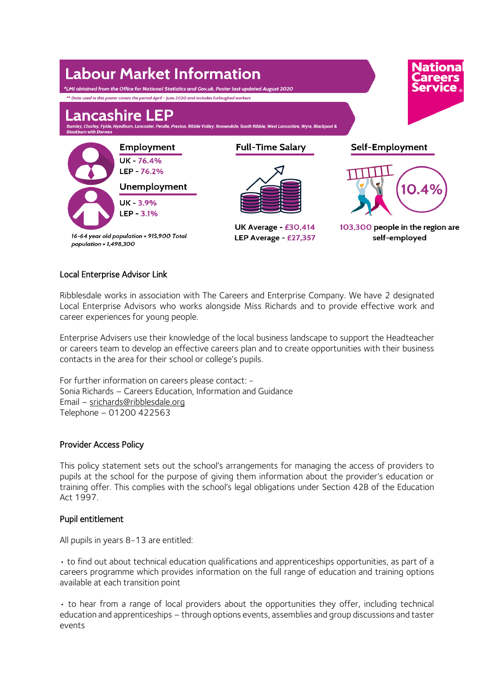

# Local Enterprise Advisor Link

Ribblesdale works in association with The Careers and Enterprise Company. We have 2 designated Local Enterprise Advisors who works alongside Miss Richards and to provide effective work and career experiences for young people.

Enterprise Advisers use their knowledge of the local business landscape to support the Headteacher or careers team to develop an effective careers plan and to create opportunities with their business contacts in the area for their school or college's pupils.

For further information on careers please contact: - Sonia Richards – Careers Education, Information and Guidance Email – [srichards@ribblesdale.org](mailto:srichards@ribblesdale.org) Telephone – 01200 422563

## Provider Access Policy

This policy statement sets out the school's arrangements for managing the access of providers to pupils at the school for the purpose of giving them information about the provider's education or training offer. This complies with the school's legal obligations under Section 42B of the Education Act 1997.

## Pupil entitlement

All pupils in years 8-13 are entitled:

• to find out about technical education qualifications and apprenticeships opportunities, as part of a careers programme which provides information on the full range of education and training options available at each transition point

• to hear from a range of local providers about the opportunities they offer, including technical education and apprenticeships – through options events, assemblies and group discussions and taster events